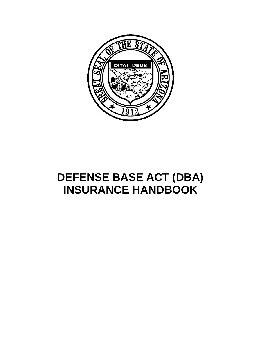

# **DEFENSE BASE ACT (DBA) INSURANCE HANDBOOK**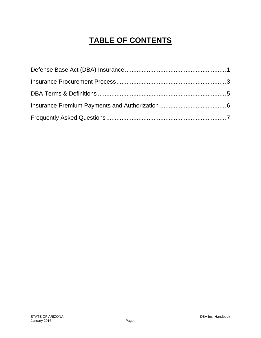# **TABLE OF CONTENTS**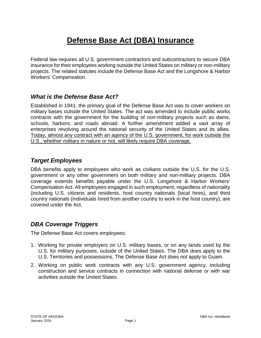# **Defense Base Act (DBA) Insurance**

Federal law requires all U.S. government contractors and subcontractors to secure DBA insurance for their employees working outside the United States on military or non-military projects. The related statutes include the Defense Base Act and the Longshore & Harbor Workers' Compensation.

#### *What is the Defense Base Act?*

Established in 1941, the primary goal of the Defense Base Act was to cover workers on military bases outside the United States. The act was amended to include public works contracts with the government for the building of non-military projects such as dams, schools, harbors, and roads abroad. A further amendment added a vast array of enterprises revolving around the national security of the United States and its allies. Today, almost any contract with an agency of the U.S. government, for work outside the U.S., whether military in nature or not, will likely require DBA coverage.

#### *Target Employees*

DBA benefits apply to employees who work as civilians outside the U.S. for the U.S. government or any other government on both military and non-military projects. DBA coverage extends benefits payable under the U.S. Longshore & Harbor Workers' Compensation Act. All employees engaged in such employment, regardless of nationality (including U.S. citizens and residents, host country nationals (local hires), and third country nationals (individuals hired from another country to work in the host country), are covered under the Act.

#### *DBA Coverage Triggers*

The Defense Base Act covers employees:

- 1. Working for private employers on U.S. military bases, or on any lands used by the U.S. for military purposes, outside of the United States. The DBA does apply to the U.S. Territories and possessions. The Defense Base Act does not apply to Guam.
- 2. Working on public work contracts with any U.S. government agency, including construction and service contracts in connection with national defense or with war activities outside the United States.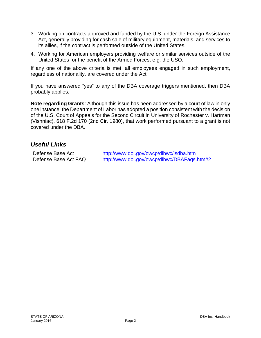- 3. Working on contracts approved and funded by the U.S. under the Foreign Assistance Act, generally providing for cash sale of military equipment, materials, and services to its allies, if the contract is performed outside of the United States.
- 4. Working for American employers providing welfare or similar services outside of the United States for the benefit of the Armed Forces, e.g. the USO.

If any one of the above criteria is met, all employees engaged in such employment, regardless of nationality, are covered under the Act.

If you have answered "yes" to any of the DBA coverage triggers mentioned, then DBA probably applies.

**Note regarding Grants**: Although this issue has been addressed by a court of law in only one instance, the Department of Labor has adopted a position consistent with the decision of the U.S. Court of Appeals for the Second Circuit in University of Rochester v. Hartman (Vishniac), 618 F.2d 170 (2nd Cir. 1980), that work performed pursuant to a grant is not covered under the DBA.

#### *Useful Links*

Defense Base Act Defense Base Act FAQ

http://www.dol.gov/owcp/dlhwc/lsdba.htm http://www.dol.gov/owcp/dlhwc/DBAFaqs.htm#2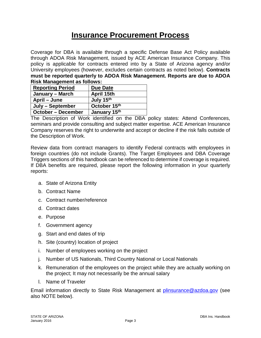### **Insurance Procurement Process**

Coverage for DBA is available through a specific Defense Base Act Policy available through ADOA Risk Management, issued by ACE American Insurance Company. This policy is applicable for contracts entered into by a State of Arizona agency and/or University employees (however, excludes certain contracts as noted below). **Contracts must be reported quarterly to ADOA Risk Management. Reports are due to ADOA Risk Management as follows:**

| <b>Reporting Period</b>   | <b>Due Date</b> |
|---------------------------|-----------------|
| January – March           | April 15th      |
| April – June              | July 15th       |
| July – September          | October 15th    |
| <b>October – December</b> | January 15th    |

The Description of Work identified on the DBA policy states: Attend Conferences, seminars and provide consulting and subject matter expertise. ACE American Insurance Company reserves the right to underwrite and accept or decline if the risk falls outside of the Description of Work.

Review data from contract managers to identify Federal contracts with employees in foreign countries (do not include Grants). The Target Employees and DBA Coverage Triggers sections of this handbook can be referenced to determine if coverage is required. If DBA benefits are required, please report the following information in your quarterly reports:

- a. State of Arizona Entity
- b. Contract Name
- c. Contract number/reference
- d. Contract dates
- e. Purpose
- f. Government agency
- g. Start and end dates of trip
- h. Site (country) location of project
- i. Number of employees working on the project
- j. Number of US Nationals, Third Country National or Local Nationals
- k. Remuneration of the employees on the project while they are actually working on the project; It may not necessarily be the annual salary
- l. Name of Traveler

Email information directly to State Risk Management at *plinsurance@azdoa.gov* (see also NOTE below).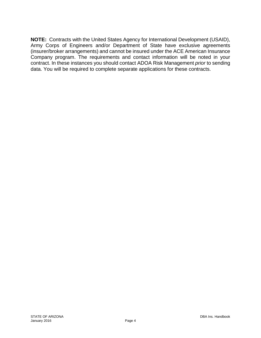**NOTE:** Contracts with the United States Agency for International Development (USAID), Army Corps of Engineers and/or Department of State have exclusive agreements (insurer/broker arrangements) and cannot be insured under the ACE American Insurance Company program. The requirements and contact information will be noted in your contract. In these instances you should contact ADOA Risk Management *prior* to sending data. You will be required to complete separate applications for these contracts.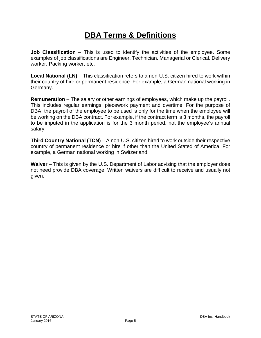# **DBA Terms & Definitions**

**Job Classification** – This is used to identify the activities of the employee. Some examples of job classifications are Engineer, Technician, Managerial or Clerical, Delivery worker, Packing worker, etc.

**Local National (LN)** – This classification refers to a non-U.S. citizen hired to work within their country of hire or permanent residence. For example, a German national working in Germany.

**Remuneration** – The salary or other earnings of employees, which make up the payroll. This includes regular earnings, piecework payment and overtime. For the purpose of DBA, the payroll of the employee to be used is only for the time when the employee will be working on the DBA contract. For example, if the contract term is 3 months, the payroll to be imputed in the application is for the 3 month period, not the employee's annual salary.

**Third Country National (TCN)** – A non-U.S. citizen hired to work outside their respective country of permanent residence or hire if other than the United Stated of America. For example, a German national working in Switzerland.

**Waiver** – This is given by the U.S. Department of Labor advising that the employer does not need provide DBA coverage. Written waivers are difficult to receive and usually not given.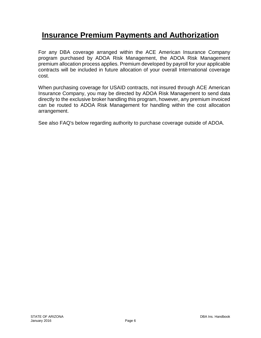## **Insurance Premium Payments and Authorization**

For any DBA coverage arranged within the ACE American Insurance Company program purchased by ADOA Risk Management, the ADOA Risk Management premium allocation process applies. Premium developed by payroll for your applicable contracts will be included in future allocation of your overall International coverage cost.

When purchasing coverage for USAID contracts, not insured through ACE American Insurance Company, you may be directed by ADOA Risk Management to send data directly to the exclusive broker handling this program, however, any premium invoiced can be routed to ADOA Risk Management for handling within the cost allocation arrangement.

See also FAQ's below regarding authority to purchase coverage outside of ADOA.